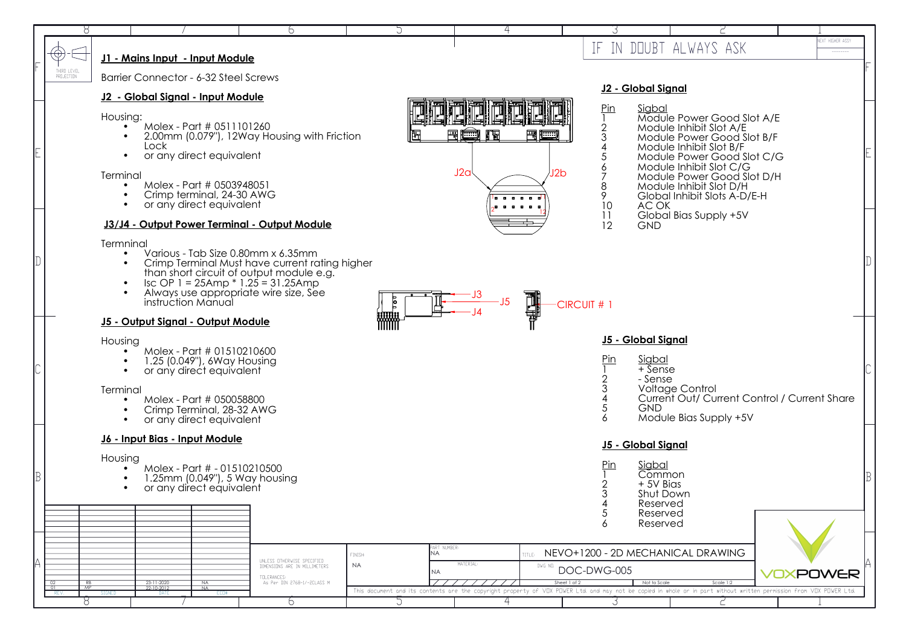|                                                                                          | $\left(\Theta\right)$                                                                      |                                                          | J1 - Mains Input - Input Module        |                                                                                                                                             |                                                                                                                                                                                                                                          |                                                                                                                                                                      |                                        |                   |                                                  | IF IN DOUBT ALWAYS ASK                                                            |                                                                                                                                                                                                                                                                                            |     | VEXT HIGHER ASSY<br>$- - - - - - - -$ |  |  |  |
|------------------------------------------------------------------------------------------|--------------------------------------------------------------------------------------------|----------------------------------------------------------|----------------------------------------|---------------------------------------------------------------------------------------------------------------------------------------------|------------------------------------------------------------------------------------------------------------------------------------------------------------------------------------------------------------------------------------------|----------------------------------------------------------------------------------------------------------------------------------------------------------------------|----------------------------------------|-------------------|--------------------------------------------------|-----------------------------------------------------------------------------------|--------------------------------------------------------------------------------------------------------------------------------------------------------------------------------------------------------------------------------------------------------------------------------------------|-----|---------------------------------------|--|--|--|
| THIRD LEVEL<br>PROJECTION<br>Barrier Connector - 6-32 Steel Screws<br>J2 - Global Signal |                                                                                            |                                                          |                                        |                                                                                                                                             |                                                                                                                                                                                                                                          |                                                                                                                                                                      |                                        |                   |                                                  |                                                                                   |                                                                                                                                                                                                                                                                                            |     |                                       |  |  |  |
|                                                                                          |                                                                                            |                                                          | J2 - Global Signal - Input Module      |                                                                                                                                             |                                                                                                                                                                                                                                          |                                                                                                                                                                      |                                        |                   |                                                  |                                                                                   |                                                                                                                                                                                                                                                                                            |     |                                       |  |  |  |
|                                                                                          |                                                                                            | Housing:<br>Terminal                                     | Lock                                   | Molex - Part # 0511101260<br>or any direct equivalent<br>Molex - Part # 0503948051<br>Crimp terminal, 24-30 AWG<br>or any direct equivalent | 2.00mm (0.079"), 12Way Housing with Friction<br>J3/J4 - Output Power Terminal - Output Module                                                                                                                                            |                                                                                                                                                                      | L.<br>雷噬<br>粗量<br>J2a<br><b>.</b><br>. | 里面<br>J2b         | Pin<br>$\overline{2}$<br>3<br>8<br>9<br>10<br>11 | Sigbal<br>AC OK                                                                   | Module Power Good Slot A/E<br>Module Inhibit Slot A/E<br>Module Power Good Slot B/F<br>Module Inhibit Slot B/F<br>Module Power Good Slot C/G<br>Module Inhibit Slot C/G<br>Module Power Good Slot D/H<br>Module Inhibit Slot D/H<br>Global Inhibit Slots A-D/E-H<br>Global Bias Supply +5V |     |                                       |  |  |  |
|                                                                                          |                                                                                            |                                                          |                                        |                                                                                                                                             |                                                                                                                                                                                                                                          |                                                                                                                                                                      |                                        |                   | 12                                               | <b>GND</b>                                                                        |                                                                                                                                                                                                                                                                                            |     |                                       |  |  |  |
|                                                                                          |                                                                                            | Termninal                                                | instruction Manual                     |                                                                                                                                             | Various - Tab Size 0.80mm x 6.35mm<br>Crimp Terminal Must have current rating higher<br>than short circuit of output module e.g.<br>$\text{Isc OP 1} = 25 \text{Amp} * 1.25 = 31.25 \text{Amp}$<br>Always use appropriate wire size, See | <b>P</b>                                                                                                                                                             | $-J5$                                  | HIT H             | -CIRCUIT # 1                                     |                                                                                   |                                                                                                                                                                                                                                                                                            |     |                                       |  |  |  |
|                                                                                          |                                                                                            | anna<br>MMM<br><b>J5 - Output Signal - Output Module</b> |                                        |                                                                                                                                             |                                                                                                                                                                                                                                          |                                                                                                                                                                      |                                        |                   |                                                  |                                                                                   |                                                                                                                                                                                                                                                                                            |     |                                       |  |  |  |
|                                                                                          |                                                                                            | Housing                                                  |                                        |                                                                                                                                             |                                                                                                                                                                                                                                          |                                                                                                                                                                      |                                        |                   |                                                  | <b>J5 - Global Signal</b><br>Pin<br><u>Sigbal</u><br>+ Sense                      |                                                                                                                                                                                                                                                                                            |     |                                       |  |  |  |
|                                                                                          |                                                                                            |                                                          |                                        | Molex - Part # 01510210600<br>1.25 (0.049"), 6Way Housing<br>or any direct equivalent                                                       |                                                                                                                                                                                                                                          |                                                                                                                                                                      |                                        |                   |                                                  |                                                                                   |                                                                                                                                                                                                                                                                                            |     |                                       |  |  |  |
|                                                                                          |                                                                                            | Terminal                                                 |                                        |                                                                                                                                             |                                                                                                                                                                                                                                          |                                                                                                                                                                      |                                        |                   |                                                  | - Sense<br><b>Voltage Control</b><br>Current Out/ Current Control / Current Share |                                                                                                                                                                                                                                                                                            |     |                                       |  |  |  |
|                                                                                          |                                                                                            |                                                          |                                        | Molex - Part # 050058800<br>Crimp Terminal, 28-32 AWG<br>or any direct equivalent                                                           |                                                                                                                                                                                                                                          |                                                                                                                                                                      |                                        |                   |                                                  | <b>GND</b>                                                                        | Module Bias Supply +5V                                                                                                                                                                                                                                                                     |     |                                       |  |  |  |
|                                                                                          |                                                                                            |                                                          | <u> J6 - Input Bias - Input Module</u> |                                                                                                                                             |                                                                                                                                                                                                                                          |                                                                                                                                                                      |                                        |                   | <u> J5 - Global Signal</u>                       |                                                                                   |                                                                                                                                                                                                                                                                                            |     |                                       |  |  |  |
|                                                                                          |                                                                                            | Housing                                                  |                                        |                                                                                                                                             |                                                                                                                                                                                                                                          |                                                                                                                                                                      |                                        |                   | Pin                                              | Sigbal                                                                            |                                                                                                                                                                                                                                                                                            |     |                                       |  |  |  |
|                                                                                          | Molex - Part # - 01510210500<br>1.25mm (0.049"), 5 Way housing<br>or any direct equivalent |                                                          |                                        |                                                                                                                                             |                                                                                                                                                                                                                                          |                                                                                                                                                                      |                                        |                   |                                                  | Common<br>$+5V$ Bias<br>Shut Down<br>Reserved                                     |                                                                                                                                                                                                                                                                                            |     |                                       |  |  |  |
|                                                                                          |                                                                                            |                                                          |                                        |                                                                                                                                             |                                                                                                                                                                                                                                          |                                                                                                                                                                      |                                        |                   |                                                  | Reserved<br>Reserved                                                              |                                                                                                                                                                                                                                                                                            |     |                                       |  |  |  |
|                                                                                          |                                                                                            |                                                          |                                        |                                                                                                                                             |                                                                                                                                                                                                                                          | PART NUMBER:                                                                                                                                                         |                                        |                   |                                                  |                                                                                   |                                                                                                                                                                                                                                                                                            |     |                                       |  |  |  |
|                                                                                          |                                                                                            |                                                          | 23-11-2020<br>$22 - 10 - 2012$         |                                                                                                                                             | UNLESS OTHERWISE SPECIFIED<br>DIMENSIONS ARE IN MILLIMETERS<br>TOLERANCES:<br>As Per DIN 2768-1/-2CLASS M                                                                                                                                | NA<br>FINISH:<br><b>NA</b>                                                                                                                                           | MATERIAL:                              | TITLE:<br>DWG NO. |                                                  | NEVO+1200 - 2D MECHANICAL DRAWING                                                 |                                                                                                                                                                                                                                                                                            |     |                                       |  |  |  |
|                                                                                          | 02<br>RB<br>$\overline{01}$<br>MP                                                          |                                                          |                                        | NA<br>$\overline{NA}$                                                                                                                       |                                                                                                                                                                                                                                          | ΝA                                                                                                                                                                   |                                        | Sheet 1 of 2      | DOC-DWG-005                                      | Not to Scale<br>Scale 1:2                                                         |                                                                                                                                                                                                                                                                                            | VO) | <b>XPOWER</b>                         |  |  |  |
|                                                                                          | REV.                                                                                       |                                                          | -lia e                                 |                                                                                                                                             | Ь                                                                                                                                                                                                                                        | This document and its contents are the copyright property of VDX POWER Ltd. and may not be copied in whole or in part without written permission from VDX POWER Ltd. |                                        |                   |                                                  |                                                                                   |                                                                                                                                                                                                                                                                                            |     |                                       |  |  |  |
|                                                                                          |                                                                                            |                                                          |                                        |                                                                                                                                             |                                                                                                                                                                                                                                          |                                                                                                                                                                      |                                        |                   |                                                  |                                                                                   |                                                                                                                                                                                                                                                                                            |     |                                       |  |  |  |